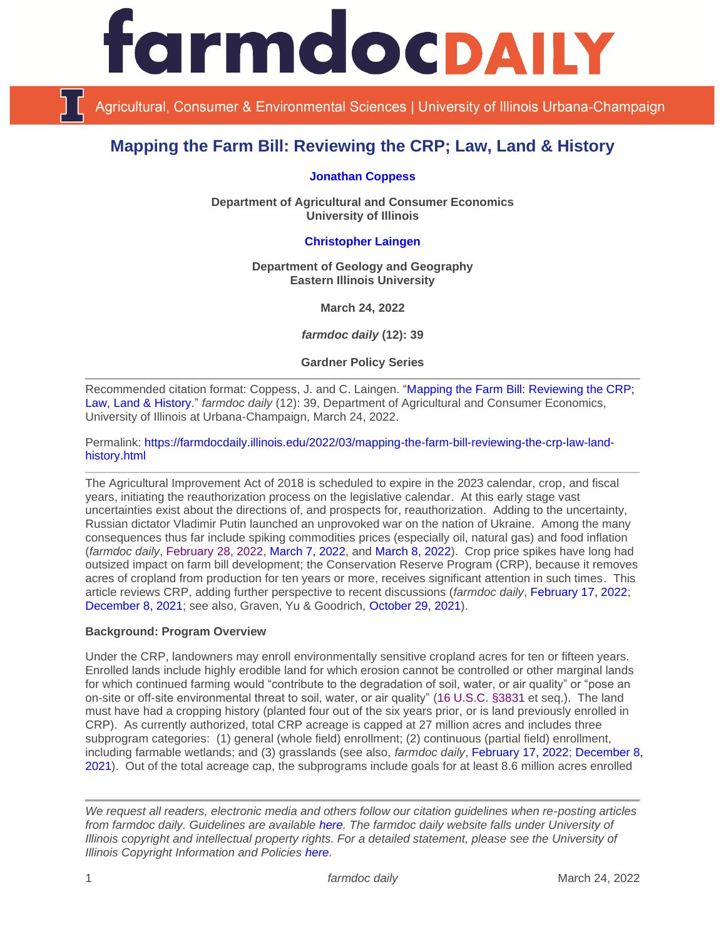

Agricultural, Consumer & Environmental Sciences | University of Illinois Urbana-Champaign

# **Mapping the Farm Bill: Reviewing the CRP; Law, Land & History**

**[Jonathan Coppess](https://ace.illinois.edu/directory/jwcoppes)**

**Department of Agricultural and Consumer Economics University of Illinois**

# **[Christopher](https://www.eiu.edu/geoscience/faculty.php?id=crlaingen) Laingen**

**Department of Geology and Geography Eastern Illinois University**

**March 24, 2022**

*farmdoc daily* **(12): 39**

**Gardner Policy Series**

Recommended citation format: Coppess, J. and C. Laingen. ["Mapping the Farm Bill: Reviewing the CRP;](https://farmdocdaily.illinois.edu/2022/03/mapping-the-farm-bill-reviewing-the-crp-law-land-history.html)  [Law, Land & History.](https://farmdocdaily.illinois.edu/2022/03/mapping-the-farm-bill-reviewing-the-crp-law-land-history.html)" *farmdoc daily* (12): 39, Department of Agricultural and Consumer Economics, University of Illinois at Urbana-Champaign, March 24, 2022.

Permalink: [https://farmdocdaily.illinois.edu/2022/03/mapping-the-farm-bill-reviewing-the-crp-law-land](https://farmdocdaily.illinois.edu/2022/03/mapping-the-farm-bill-reviewing-the-crp-law-land-history.html)[history.html](https://farmdocdaily.illinois.edu/2022/03/mapping-the-farm-bill-reviewing-the-crp-law-land-history.html)

The Agricultural Improvement Act of 2018 is scheduled to expire in the 2023 calendar, crop, and fiscal years, initiating the reauthorization process on the legislative calendar. At this early stage vast uncertainties exist about the directions of, and prospects for, reauthorization. Adding to the uncertainty, Russian dictator Vladimir Putin launched an unprovoked war on the nation of Ukraine. Among the many consequences thus far include spiking commodities prices (especially oil, natural gas) and food inflation (*farmdoc daily*, [February 28, 2022,](https://farmdocdaily.illinois.edu/2022/02/revisiting-ukraine-russia-and-agricultural-commodity-markets.html) [March 7, 2022,](https://farmdocdaily.illinois.edu/2022/03/agricultural-commodity-markets-reaction-to-the-ukraine-russia-conflict.html) and [March 8, 2022\)](https://farmdocdaily.illinois.edu/2022/03/should-the-russian-ukraine-conflict-impact-2022-acreage-crop-insurance-and-commodity-title-decisions-in-the-midwest.html). Crop price spikes have long had outsized impact on farm bill development; the Conservation Reserve Program (CRP), because it removes acres of cropland from production for ten years or more, receives significant attention in such times. This article reviews CRP, adding further perspective to recent discussions (*farmdoc daily*, [February 17, 2022;](https://farmdocdaily.illinois.edu/2022/02/conservation-reserve-programs-evolving-mission.html) [December 8, 2021;](https://farmdocdaily.illinois.edu/2021/12/net-change-in-crp-acres-2020-2021-program-year.html) see also, Graven, Yu & Goodrich, [October 29, 2021\)](https://ambrook.com/research/the-conservation-reserve-program-is-competing-with-pasture-insurance-for-farmer-participation).

# **Background: Program Overview**

Under the CRP, landowners may enroll environmentally sensitive cropland acres for ten or fifteen years. Enrolled lands include highly erodible land for which erosion cannot be controlled or other marginal lands for which continued farming would "contribute to the degradation of soil, water, or air quality" or "pose an on-site or off-site environmental threat to soil, water, or air quality" [\(16 U.S.C. §3831](https://uscode.house.gov/view.xhtml?req=granuleid:USC-prelim-title16-section3831&num=0&edition=prelim) et seq.). The land must have had a cropping history (planted four out of the six years prior, or is land previously enrolled in CRP). As currently authorized, total CRP acreage is capped at 27 million acres and includes three subprogram categories: (1) general (whole field) enrollment; (2) continuous (partial field) enrollment, including farmable wetlands; and (3) grasslands (see also, *farmdoc daily*, [February 17, 2022;](https://farmdocdaily.illinois.edu/2022/02/conservation-reserve-programs-evolving-mission.html) [December 8,](https://farmdocdaily.illinois.edu/2021/12/net-change-in-crp-acres-2020-2021-program-year.html)  [2021\)](https://farmdocdaily.illinois.edu/2021/12/net-change-in-crp-acres-2020-2021-program-year.html). Out of the total acreage cap, the subprograms include goals for at least 8.6 million acres enrolled

*We request all readers, electronic media and others follow our citation guidelines when re-posting articles from farmdoc daily. Guidelines are available [here.](http://farmdocdaily.illinois.edu/citationguide.html) The farmdoc daily website falls under University of Illinois copyright and intellectual property rights. For a detailed statement, please see the University of Illinois Copyright Information and Policies [here.](http://www.cio.illinois.edu/policies/copyright/)*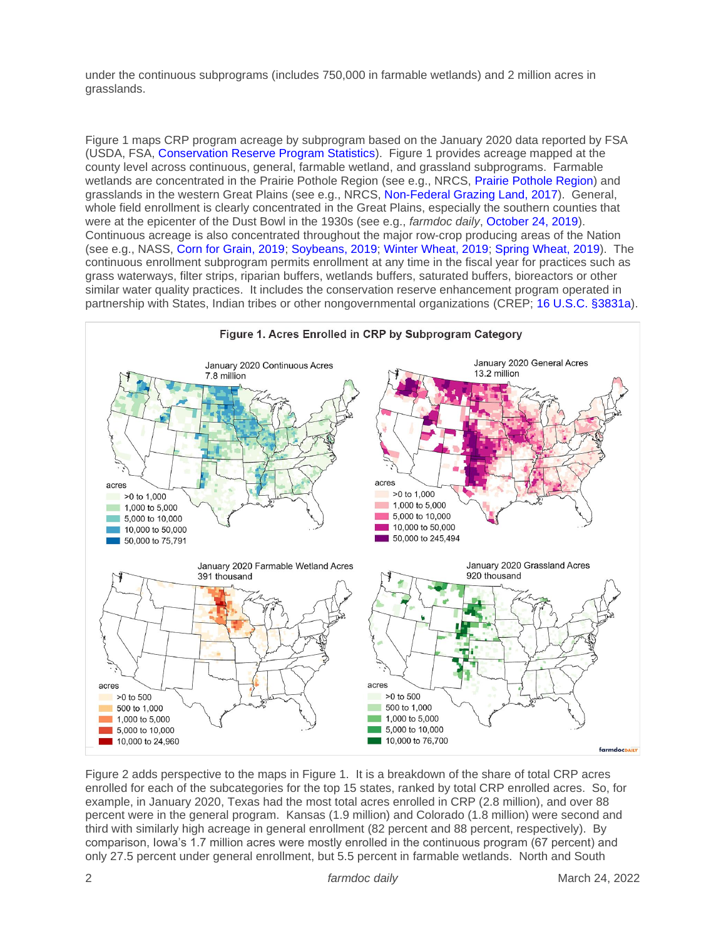under the continuous subprograms (includes 750,000 in farmable wetlands) and 2 million acres in grasslands.

Figure 1 maps CRP program acreage by subprogram based on the January 2020 data reported by FSA (USDA, FSA, [Conservation Reserve Program Statistics\)](https://www.fsa.usda.gov/programs-and-services/conservation-programs/reports-and-statistics/conservation-reserve-program-statistics/index). Figure 1 provides acreage mapped at the county level across continuous, general, farmable wetland, and grassland subprograms. Farmable wetlands are concentrated in the Prairie Pothole Region (see e.g., NRCS, [Prairie Pothole Region\)](https://www.nrcs.usda.gov/Internet/FSE_MEDIA/stelprdb1245697.jpg) and grasslands in the western Great Plains (see e.g., NRCS, [Non-Federal Grazing Land, 2017\)](https://www.nrcs.usda.gov/Internet/NRCS_RCA/maps/m14592grazing.png). General, whole field enrollment is clearly concentrated in the Great Plains, especially the southern counties that were at the epicenter of the Dust Bowl in the 1930s (see e.g., *farmdoc daily*, [October 24, 2019\)](https://farmdocdaily.illinois.edu/2019/10/the-conservation-question-part-2-lessons-written-in-dust.html). Continuous acreage is also concentrated throughout the major row-crop producing areas of the Nation (see e.g., NASS, [Corn for Grain, 2019;](https://www.nass.usda.gov/Charts_and_Maps/Crops_County/cr-pr.php) [Soybeans, 2019;](https://www.nass.usda.gov/Charts_and_Maps/Crops_County/sb-pr.php) [Winter Wheat, 2019;](https://www.nass.usda.gov/Charts_and_Maps/Crops_County/ww-pl.php) [Spring Wheat, 2019\)](https://www.nass.usda.gov/Charts_and_Maps/Crops_County/sw-pl.php). The continuous enrollment subprogram permits enrollment at any time in the fiscal year for practices such as grass waterways, filter strips, riparian buffers, wetlands buffers, saturated buffers, bioreactors or other similar water quality practices. It includes the conservation reserve enhancement program operated in partnership with States, Indian tribes or other nongovernmental organizations (CREP; [16 U.S.C. §3831a\)](https://uscode.house.gov/view.xhtml?req=granuleid:USC-prelim-title16-section3831a&num=0&edition=prelim).



Figure 2 adds perspective to the maps in Figure 1. It is a breakdown of the share of total CRP acres enrolled for each of the subcategories for the top 15 states, ranked by total CRP enrolled acres. So, for example, in January 2020, Texas had the most total acres enrolled in CRP (2.8 million), and over 88 percent were in the general program. Kansas (1.9 million) and Colorado (1.8 million) were second and third with similarly high acreage in general enrollment (82 percent and 88 percent, respectively). By comparison, Iowa's 1.7 million acres were mostly enrolled in the continuous program (67 percent) and only 27.5 percent under general enrollment, but 5.5 percent in farmable wetlands. North and South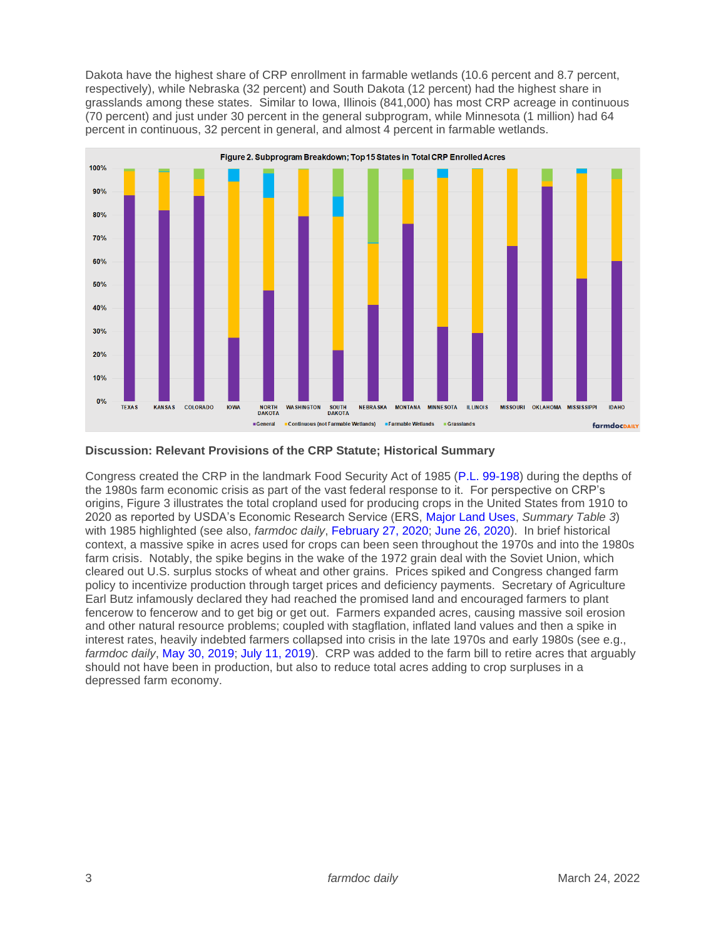Dakota have the highest share of CRP enrollment in farmable wetlands (10.6 percent and 8.7 percent, respectively), while Nebraska (32 percent) and South Dakota (12 percent) had the highest share in grasslands among these states. Similar to Iowa, Illinois (841,000) has most CRP acreage in continuous (70 percent) and just under 30 percent in the general subprogram, while Minnesota (1 million) had 64 percent in continuous, 32 percent in general, and almost 4 percent in farmable wetlands.



#### **Discussion: Relevant Provisions of the CRP Statute; Historical Summary**

Congress created the CRP in the landmark Food Security Act of 1985 [\(P.L. 99-198\)](https://www.congress.gov/bill/99th-congress/house-bill/2100/text?q=%7B%22search%22%3A%5B%22pl+99-198%22%2C%22pl%22%2C%2299-198%22%5D%7D&r=1&s=6) during the depths of the 1980s farm economic crisis as part of the vast federal response to it. For perspective on CRP's origins, Figure 3 illustrates the total cropland used for producing crops in the United States from 1910 to 2020 as reported by USDA's Economic Research Service (ERS, [Major Land Uses,](https://www.ers.usda.gov/data-products/major-land-uses/) *Summary Table 3*) with 1985 highlighted (see also, *farmdoc daily*, [February 27, 2020;](https://farmdocdaily.illinois.edu/2020/02/the-conservation-question-part-8-interregnum-and-acres.html) [June 26, 2020\)](https://farmdocdaily.illinois.edu/2020/06/production-controls-set-aside-acres-part-1-reviewing-history.html). In brief historical context, a massive spike in acres used for crops can been seen throughout the 1970s and into the 1980s farm crisis. Notably, the spike begins in the wake of the 1972 grain deal with the Soviet Union, which cleared out U.S. surplus stocks of wheat and other grains. Prices spiked and Congress changed farm policy to incentivize production through target prices and deficiency payments. Secretary of Agriculture Earl Butz infamously declared they had reached the promised land and encouraged farmers to plant fencerow to fencerow and to get big or get out. Farmers expanded acres, causing massive soil erosion and other natural resource problems; coupled with stagflation, inflated land values and then a spike in interest rates, heavily indebted farmers collapsed into crisis in the late 1970s and early 1980s (see e.g., *farmdoc daily*, [May 30, 2019;](https://farmdocdaily.illinois.edu/2019/05/a-brief-review-of-the-consequential-seventies.html) [July 11, 2019\)](https://farmdocdaily.illinois.edu/2019/07/the-other-side-of-the-seventies.html). CRP was added to the farm bill to retire acres that arguably should not have been in production, but also to reduce total acres adding to crop surpluses in a depressed farm economy.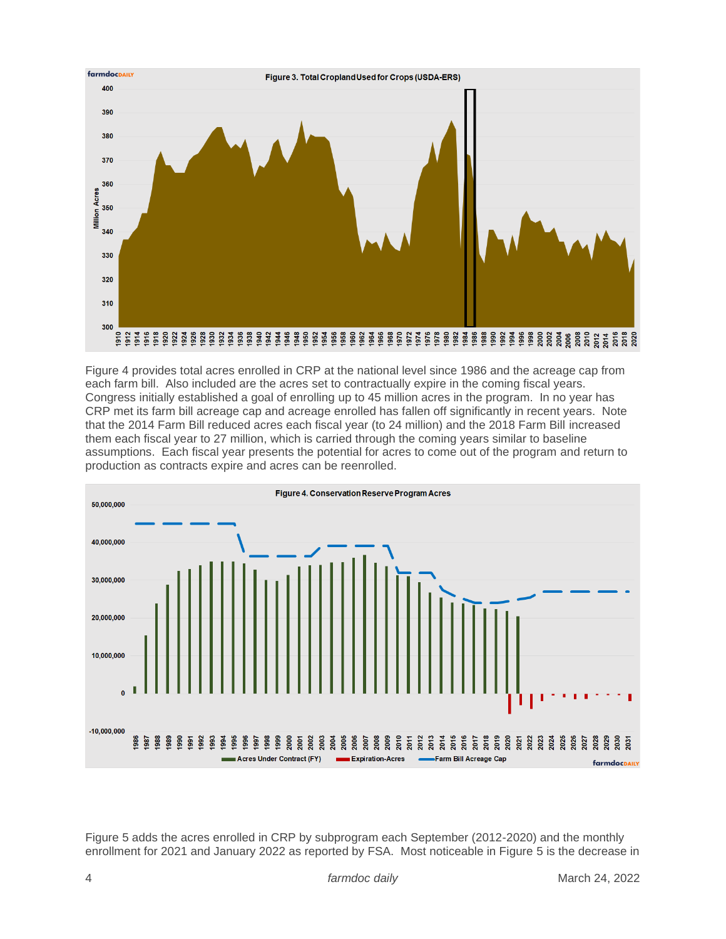

Figure 4 provides total acres enrolled in CRP at the national level since 1986 and the acreage cap from each farm bill. Also included are the acres set to contractually expire in the coming fiscal years. Congress initially established a goal of enrolling up to 45 million acres in the program. In no year has CRP met its farm bill acreage cap and acreage enrolled has fallen off significantly in recent years. Note that the 2014 Farm Bill reduced acres each fiscal year (to 24 million) and the 2018 Farm Bill increased them each fiscal year to 27 million, which is carried through the coming years similar to baseline assumptions. Each fiscal year presents the potential for acres to come out of the program and return to production as contracts expire and acres can be reenrolled.



Figure 5 adds the acres enrolled in CRP by subprogram each September (2012-2020) and the monthly enrollment for 2021 and January 2022 as reported by FSA. Most noticeable in Figure 5 is the decrease in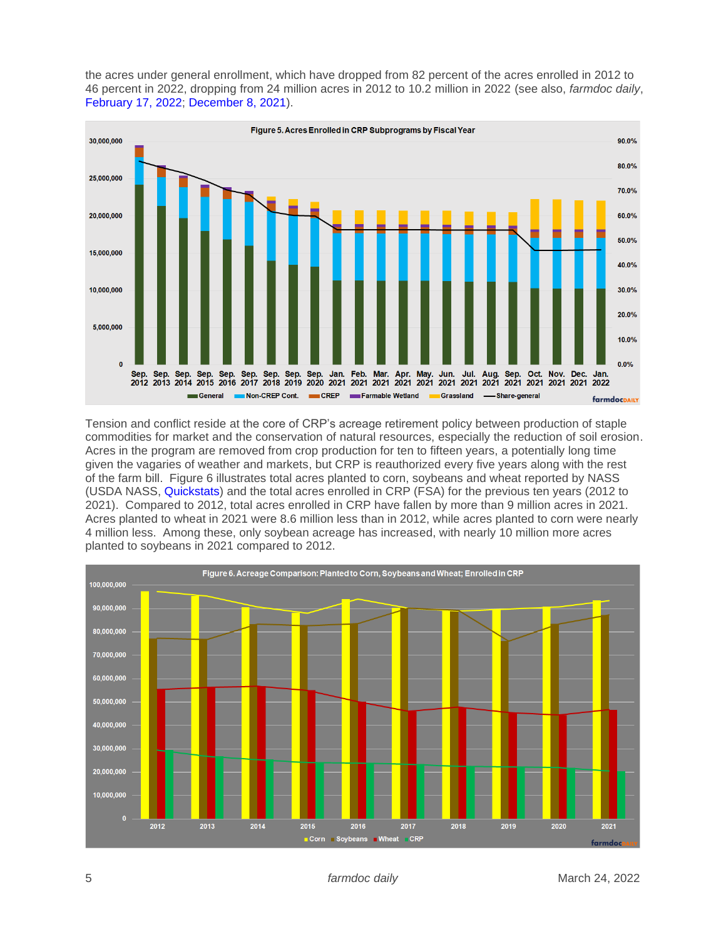the acres under general enrollment, which have dropped from 82 percent of the acres enrolled in 2012 to 46 percent in 2022, dropping from 24 million acres in 2012 to 10.2 million in 2022 (see also, *farmdoc daily*, [February 17, 2022;](https://farmdocdaily.illinois.edu/2022/02/conservation-reserve-programs-evolving-mission.html) [December 8, 2021\)](https://farmdocdaily.illinois.edu/2021/12/net-change-in-crp-acres-2020-2021-program-year.html).



Tension and conflict reside at the core of CRP's acreage retirement policy between production of staple commodities for market and the conservation of natural resources, especially the reduction of soil erosion. Acres in the program are removed from crop production for ten to fifteen years, a potentially long time given the vagaries of weather and markets, but CRP is reauthorized every five years along with the rest of the farm bill. Figure 6 illustrates total acres planted to corn, soybeans and wheat reported by NASS (USDA NASS, [Quickstats\)](https://quickstats.nass.usda.gov/) and the total acres enrolled in CRP (FSA) for the previous ten years (2012 to 2021). Compared to 2012, total acres enrolled in CRP have fallen by more than 9 million acres in 2021. Acres planted to wheat in 2021 were 8.6 million less than in 2012, while acres planted to corn were nearly 4 million less. Among these, only soybean acreage has increased, with nearly 10 million more acres planted to soybeans in 2021 compared to 2012.

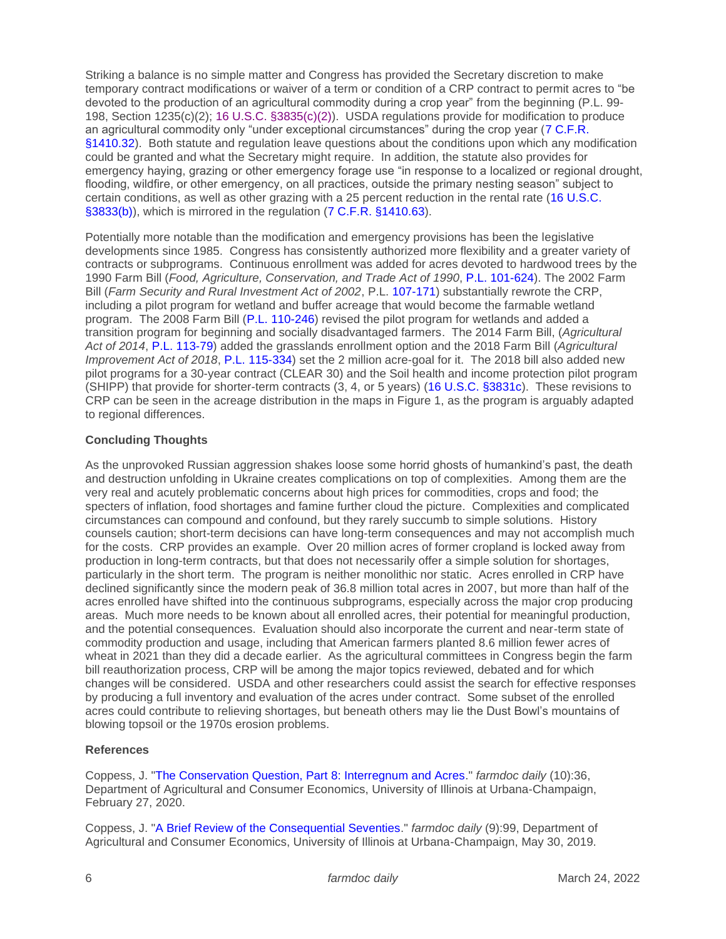Striking a balance is no simple matter and Congress has provided the Secretary discretion to make temporary contract modifications or waiver of a term or condition of a CRP contract to permit acres to "be devoted to the production of an agricultural commodity during a crop year" from the beginning (P.L. 99- 198, Section 1235(c)(2); [16 U.S.C. §3835\(c\)\(2\)\)](https://uscode.house.gov/view.xhtml?req=granuleid:USC-prelim-title16-section3835&num=0&edition=prelim). USDA regulations provide for modification to produce an agricultural commodity only "under exceptional circumstances" during the crop year [\(7 C.F.R.](https://www.ecfr.gov/current/title-7/subtitle-B/chapter-XIV/subchapter-B/part-1410)  [§1410.32\)](https://www.ecfr.gov/current/title-7/subtitle-B/chapter-XIV/subchapter-B/part-1410). Both statute and regulation leave questions about the conditions upon which any modification could be granted and what the Secretary might require. In addition, the statute also provides for emergency haying, grazing or other emergency forage use "in response to a localized or regional drought, flooding, wildfire, or other emergency, on all practices, outside the primary nesting season" subject to certain conditions, as well as other grazing with a 25 percent reduction in the rental rate [\(16 U.S.C.](https://uscode.house.gov/view.xhtml?req=granuleid:USC-prelim-title16-section3833&num=0&edition=prelim)  [§3833\(b\)\)](https://uscode.house.gov/view.xhtml?req=granuleid:USC-prelim-title16-section3833&num=0&edition=prelim), which is mirrored in the regulation [\(7 C.F.R. §1410.63\)](https://www.ecfr.gov/current/title-7/subtitle-B/chapter-XIV/subchapter-B/part-1410).

Potentially more notable than the modification and emergency provisions has been the legislative developments since 1985. Congress has consistently authorized more flexibility and a greater variety of contracts or subprograms. Continuous enrollment was added for acres devoted to hardwood trees by the 1990 Farm Bill (*Food, Agriculture, Conservation, and Trade Act of 1990*, [P.L. 101-624\)](https://www.congress.gov/bill/101st-congress/senate-bill/2830?q=%7B%22search%22%3A%5B%22pl+101-624%22%2C%22pl%22%2C%22101-624%22%5D%7D&s=1&r=1). The 2002 Farm Bill (*Farm Security and Rural Investment Act of 2002*, P.L. [107-171\)](https://www.congress.gov/bill/107th-congress/house-bill/2646/text?q=%7B%22search%22%3A%5B%22farm%22%2C%22farm%22%5D%7D&r=2&s=6) substantially rewrote the CRP, including a pilot program for wetland and buffer acreage that would become the farmable wetland program. The 2008 Farm Bill [\(P.L. 110-246\)](https://www.congress.gov/bill/110th-congress/house-bill/6124/text?q=%7B%22search%22%3A%5B%22p.l.+110-246%22%2C%22p.l.%22%2C%22110-246%22%5D%7D&r=2&s=1) revised the pilot program for wetlands and added a transition program for beginning and socially disadvantaged farmers. The 2014 Farm Bill, (*Agricultural Act of 2014*, [P.L. 113-79\)](https://www.congress.gov/bill/113th-congress/house-bill/2642/text?q=%7B%22search%22%3A%5B%22%5C%22agriculture+act%5C%22%22%2C%22%5C%22agriculture%22%2C%22act%5C%22%22%5D%7D&r=7&s=8) added the grasslands enrollment option and the 2018 Farm Bill (*Agricultural Improvement Act of 2018*, [P.L. 115-334\)](https://www.congress.gov/bill/115th-congress/house-bill/2/text?q=%7B%22search%22%3A%5B%22HR2%22%2C%22HR2%22%5D%7D&r=1&s=4) set the 2 million acre-goal for it. The 2018 bill also added new pilot programs for a 30-year contract (CLEAR 30) and the Soil health and income protection pilot program (SHIPP) that provide for shorter-term contracts (3, 4, or 5 years) [\(16 U.S.C. §3831c\)](https://uscode.house.gov/view.xhtml?req=granuleid:USC-prelim-title16-section3831c&num=0&edition=prelim). These revisions to CRP can be seen in the acreage distribution in the maps in Figure 1, as the program is arguably adapted to regional differences.

# **Concluding Thoughts**

As the unprovoked Russian aggression shakes loose some horrid ghosts of humankind's past, the death and destruction unfolding in Ukraine creates complications on top of complexities. Among them are the very real and acutely problematic concerns about high prices for commodities, crops and food; the specters of inflation, food shortages and famine further cloud the picture. Complexities and complicated circumstances can compound and confound, but they rarely succumb to simple solutions. History counsels caution; short-term decisions can have long-term consequences and may not accomplish much for the costs. CRP provides an example. Over 20 million acres of former cropland is locked away from production in long-term contracts, but that does not necessarily offer a simple solution for shortages, particularly in the short term. The program is neither monolithic nor static. Acres enrolled in CRP have declined significantly since the modern peak of 36.8 million total acres in 2007, but more than half of the acres enrolled have shifted into the continuous subprograms, especially across the major crop producing areas. Much more needs to be known about all enrolled acres, their potential for meaningful production, and the potential consequences. Evaluation should also incorporate the current and near-term state of commodity production and usage, including that American farmers planted 8.6 million fewer acres of wheat in 2021 than they did a decade earlier. As the agricultural committees in Congress begin the farm bill reauthorization process, CRP will be among the major topics reviewed, debated and for which changes will be considered. USDA and other researchers could assist the search for effective responses by producing a full inventory and evaluation of the acres under contract. Some subset of the enrolled acres could contribute to relieving shortages, but beneath others may lie the Dust Bowl's mountains of blowing topsoil or the 1970s erosion problems.

# **References**

Coppess, J. ["The Conservation Question, Part 8: Interregnum and Acres.](https://farmdocdaily.illinois.edu/2020/02/the-conservation-question-part-8-interregnum-and-acres.html)" *farmdoc daily* (10):36, Department of Agricultural and Consumer Economics, University of Illinois at Urbana-Champaign, February 27, 2020.

Coppess, J. ["A Brief Review of the Consequential Seventies.](https://farmdocdaily.illinois.edu/2019/05/a-brief-review-of-the-consequential-seventies.html)" *farmdoc daily* (9):99, Department of Agricultural and Consumer Economics, University of Illinois at Urbana-Champaign, May 30, 2019.